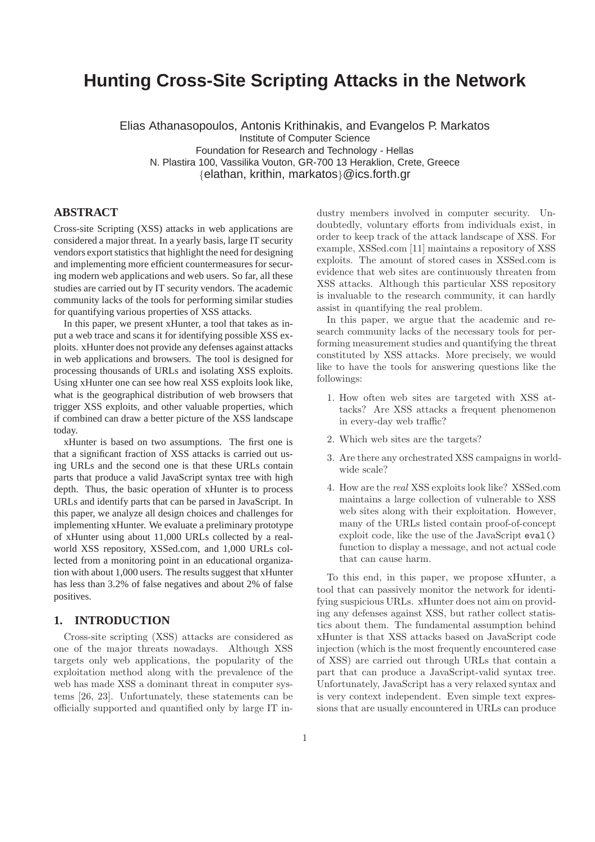# **Hunting Cross-Site Scripting Attacks in the Network**

Elias Athanasopoulos, Antonis Krithinakis, and Evangelos P. Markatos Institute of Computer Science Foundation for Research and Technology - Hellas N. Plastira 100, Vassilika Vouton, GR-700 13 Heraklion, Crete, Greece {elathan, krithin, markatos}@ics.forth.gr

### **ABSTRACT**

Cross-site Scripting (XSS) attacks in web applications are considered a major threat. In a yearly basis, large IT security vendors export statistics that highlight the need for designing and implementing more efficient countermeasures for securing modern web applications and web users. So far, all these studies are carried out by IT security vendors. The academic community lacks of the tools for performing similar studies for quantifying various properties of XSS attacks.

In this paper, we present xHunter, a tool that takes as input a web trace and scans it for identifying possible XSS exploits. xHunter does not provide any defenses against attacks in web applications and browsers. The tool is designed for processing thousands of URLs and isolating XSS exploits. Using xHunter one can see how real XSS exploits look like, what is the geographical distribution of web browsers that trigger XSS exploits, and other valuable properties, which if combined can draw a better picture of the XSS landscape today.

xHunter is based on two assumptions. The first one is that a significant fraction of XSS attacks is carried out using URLs and the second one is that these URLs contain parts that produce a valid JavaScript syntax tree with high depth. Thus, the basic operation of xHunter is to process URLs and identify parts that can be parsed in JavaScript. In this paper, we analyze all design choices and challenges for implementing xHunter. We evaluate a preliminary prototype of xHunter using about 11,000 URLs collected by a realworld XSS repository, XSSed.com, and 1,000 URLs collected from a monitoring point in an educational organization with about 1,000 users. The results suggest that xHunter has less than 3.2% of false negatives and about 2% of false positives.

# **1. INTRODUCTION**

Cross-site scripting (XSS) attacks are considered as one of the major threats nowadays. Although XSS targets only web applications, the popularity of the exploitation method along with the prevalence of the web has made XSS a dominant threat in computer systems [26, 23]. Unfortunately, these statements can be officially supported and quantified only by large IT industry members involved in computer security. Undoubtedly, voluntary efforts from individuals exist, in order to keep track of the attack landscape of XSS. For example, XSSed.com [11] maintains a repository of XSS exploits. The amount of stored cases in XSSed.com is evidence that web sites are continuously threaten from XSS attacks. Although this particular XSS repository is invaluable to the research community, it can hardly assist in quantifying the real problem.

In this paper, we argue that the academic and research community lacks of the necessary tools for performing measurement studies and quantifying the threat constituted by XSS attacks. More precisely, we would like to have the tools for answering questions like the followings:

- 1. How often web sites are targeted with XSS attacks? Are XSS attacks a frequent phenomenon in every-day web traffic?
- 2. Which web sites are the targets?
- 3. Are there any orchestrated XSS campaigns in worldwide scale?
- 4. How are the real XSS exploits look like? XSSed.com maintains a large collection of vulnerable to XSS web sites along with their exploitation. However, many of the URLs listed contain proof-of-concept exploit code, like the use of the JavaScript eval() function to display a message, and not actual code that can cause harm.

To this end, in this paper, we propose xHunter, a tool that can passively monitor the network for identifying suspicious URLs. xHunter does not aim on providing any defenses against XSS, but rather collect statistics about them. The fundamental assumption behind xHunter is that XSS attacks based on JavaScript code injection (which is the most frequently encountered case of XSS) are carried out through URLs that contain a part that can produce a JavaScript-valid syntax tree. Unfortunately, JavaScript has a very relaxed syntax and is very context independent. Even simple text expressions that are usually encountered in URLs can produce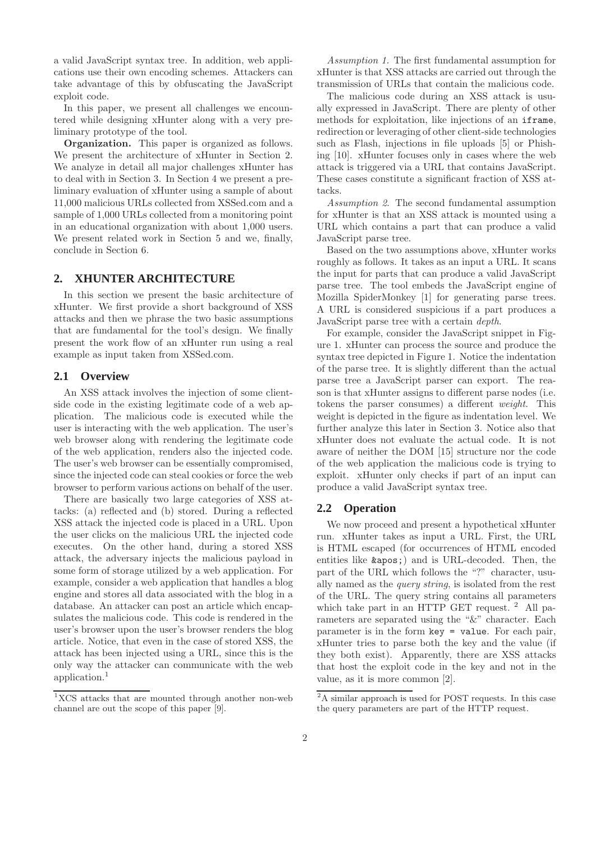a valid JavaScript syntax tree. In addition, web applications use their own encoding schemes. Attackers can take advantage of this by obfuscating the JavaScript exploit code.

In this paper, we present all challenges we encountered while designing xHunter along with a very preliminary prototype of the tool.

Organization. This paper is organized as follows. We present the architecture of xHunter in Section 2. We analyze in detail all major challenges xHunter has to deal with in Section 3. In Section 4 we present a preliminary evaluation of xHunter using a sample of about 11,000 malicious URLs collected from XSSed.com and a sample of 1,000 URLs collected from a monitoring point in an educational organization with about 1,000 users. We present related work in Section 5 and we, finally, conclude in Section 6.

# **2. XHUNTER ARCHITECTURE**

In this section we present the basic architecture of xHunter. We first provide a short background of XSS attacks and then we phrase the two basic assumptions that are fundamental for the tool's design. We finally present the work flow of an xHunter run using a real example as input taken from XSSed.com.

# **2.1 Overview**

An XSS attack involves the injection of some clientside code in the existing legitimate code of a web application. The malicious code is executed while the user is interacting with the web application. The user's web browser along with rendering the legitimate code of the web application, renders also the injected code. The user's web browser can be essentially compromised, since the injected code can steal cookies or force the web browser to perform various actions on behalf of the user.

There are basically two large categories of XSS attacks: (a) reflected and (b) stored. During a reflected XSS attack the injected code is placed in a URL. Upon the user clicks on the malicious URL the injected code executes. On the other hand, during a stored XSS attack, the adversary injects the malicious payload in some form of storage utilized by a web application. For example, consider a web application that handles a blog engine and stores all data associated with the blog in a database. An attacker can post an article which encapsulates the malicious code. This code is rendered in the user's browser upon the user's browser renders the blog article. Notice, that even in the case of stored XSS, the attack has been injected using a URL, since this is the only way the attacker can communicate with the web application.<sup>1</sup>

Assumption 1. The first fundamental assumption for xHunter is that XSS attacks are carried out through the transmission of URLs that contain the malicious code.

The malicious code during an XSS attack is usually expressed in JavaScript. There are plenty of other methods for exploitation, like injections of an iframe, redirection or leveraging of other client-side technologies such as Flash, injections in file uploads [5] or Phishing [10]. xHunter focuses only in cases where the web attack is triggered via a URL that contains JavaScript. These cases constitute a significant fraction of XSS attacks.

Assumption 2. The second fundamental assumption for xHunter is that an XSS attack is mounted using a URL which contains a part that can produce a valid JavaScript parse tree.

Based on the two assumptions above, xHunter works roughly as follows. It takes as an input a URL. It scans the input for parts that can produce a valid JavaScript parse tree. The tool embeds the JavaScript engine of Mozilla SpiderMonkey [1] for generating parse trees. A URL is considered suspicious if a part produces a JavaScript parse tree with a certain depth.

For example, consider the JavaScript snippet in Figure 1. xHunter can process the source and produce the syntax tree depicted in Figure 1. Notice the indentation of the parse tree. It is slightly different than the actual parse tree a JavaScript parser can export. The reason is that xHunter assigns to different parse nodes (i.e. tokens the parser consumes) a different weight. This weight is depicted in the figure as indentation level. We further analyze this later in Section 3. Notice also that xHunter does not evaluate the actual code. It is not aware of neither the DOM [15] structure nor the code of the web application the malicious code is trying to exploit. xHunter only checks if part of an input can produce a valid JavaScript syntax tree.

# **2.2 Operation**

We now proceed and present a hypothetical xHunter run. xHunter takes as input a URL. First, the URL is HTML escaped (for occurrences of HTML encoded entities like  $\&$ apos; and is URL-decoded. Then, the part of the URL which follows the "?" character, usually named as the query string, is isolated from the rest of the URL. The query string contains all parameters which take part in an HTTP GET request.  $2$  All parameters are separated using the "&" character. Each parameter is in the form key = value. For each pair, xHunter tries to parse both the key and the value (if they both exist). Apparently, there are XSS attacks that host the exploit code in the key and not in the value, as it is more common [2].

<sup>&</sup>lt;sup>1</sup>XCS attacks that are mounted through another non-web channel are out the scope of this paper [9].

<sup>&</sup>lt;sup>2</sup>A similar approach is used for POST requests. In this case the query parameters are part of the HTTP request.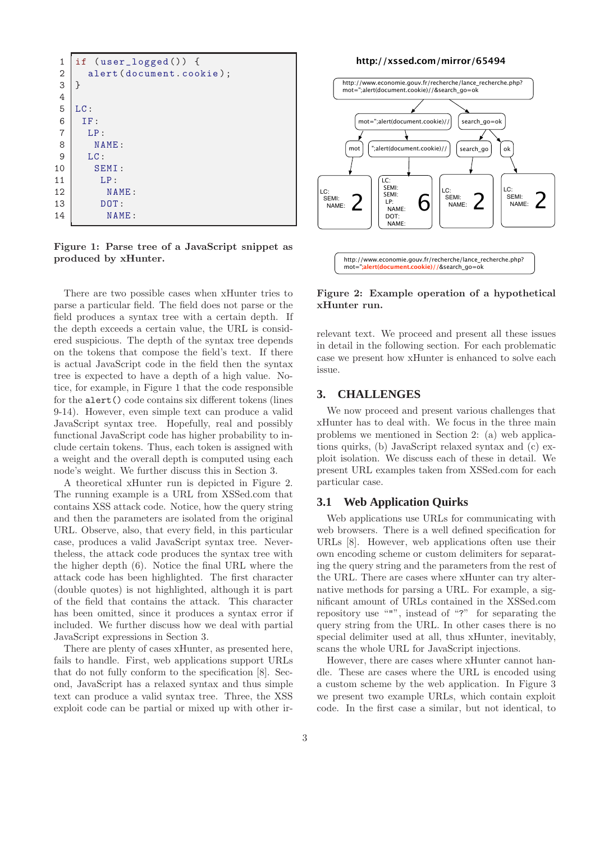| if $(user\_logged())$ {  |
|--------------------------|
| alert (document.cookie); |
| $\mathcal{F}$            |
|                          |
| LC:                      |
| IF:                      |
| LP:                      |
| NAME:                    |
| LC:                      |
| SEMI:                    |
| LP:                      |
| NAME:                    |
| DOT:                     |
| NAME:                    |
|                          |

Figure 1: Parse tree of a JavaScript snippet as produced by xHunter.

There are two possible cases when xHunter tries to parse a particular field. The field does not parse or the field produces a syntax tree with a certain depth. If the depth exceeds a certain value, the URL is considered suspicious. The depth of the syntax tree depends on the tokens that compose the field's text. If there is actual JavaScript code in the field then the syntax tree is expected to have a depth of a high value. Notice, for example, in Figure 1 that the code responsible for the alert() code contains six different tokens (lines 9-14). However, even simple text can produce a valid JavaScript syntax tree. Hopefully, real and possibly functional JavaScript code has higher probability to include certain tokens. Thus, each token is assigned with a weight and the overall depth is computed using each node's weight. We further discuss this in Section 3.

A theoretical xHunter run is depicted in Figure 2. The running example is a URL from XSSed.com that contains XSS attack code. Notice, how the query string and then the parameters are isolated from the original URL. Observe, also, that every field, in this particular case, produces a valid JavaScript syntax tree. Nevertheless, the attack code produces the syntax tree with the higher depth (6). Notice the final URL where the attack code has been highlighted. The first character (double quotes) is not highlighted, although it is part of the field that contains the attack. This character has been omitted, since it produces a syntax error if included. We further discuss how we deal with partial JavaScript expressions in Section 3.

There are plenty of cases xHunter, as presented here, fails to handle. First, web applications support URLs that do not fully conform to the specification [8]. Second, JavaScript has a relaxed syntax and thus simple text can produce a valid syntax tree. Three, the XSS exploit code can be partial or mixed up with other ir-





Figure 2: Example operation of a hypothetical xHunter run.

relevant text. We proceed and present all these issues in detail in the following section. For each problematic case we present how xHunter is enhanced to solve each issue.

### **3. CHALLENGES**

We now proceed and present various challenges that xHunter has to deal with. We focus in the three main problems we mentioned in Section 2: (a) web applications quirks, (b) JavaScript relaxed syntax and (c) exploit isolation. We discuss each of these in detail. We present URL examples taken from XSSed.com for each particular case.

### **3.1 Web Application Quirks**

Web applications use URLs for communicating with web browsers. There is a well defined specification for URLs [8]. However, web applications often use their own encoding scheme or custom delimiters for separating the query string and the parameters from the rest of the URL. There are cases where xHunter can try alternative methods for parsing a URL. For example, a significant amount of URLs contained in the XSSed.com repository use """, instead of "?" for separating the query string from the URL. In other cases there is no special delimiter used at all, thus xHunter, inevitably, scans the whole URL for JavaScript injections.

However, there are cases where xHunter cannot handle. These are cases where the URL is encoded using a custom scheme by the web application. In Figure 3 we present two example URLs, which contain exploit code. In the first case a similar, but not identical, to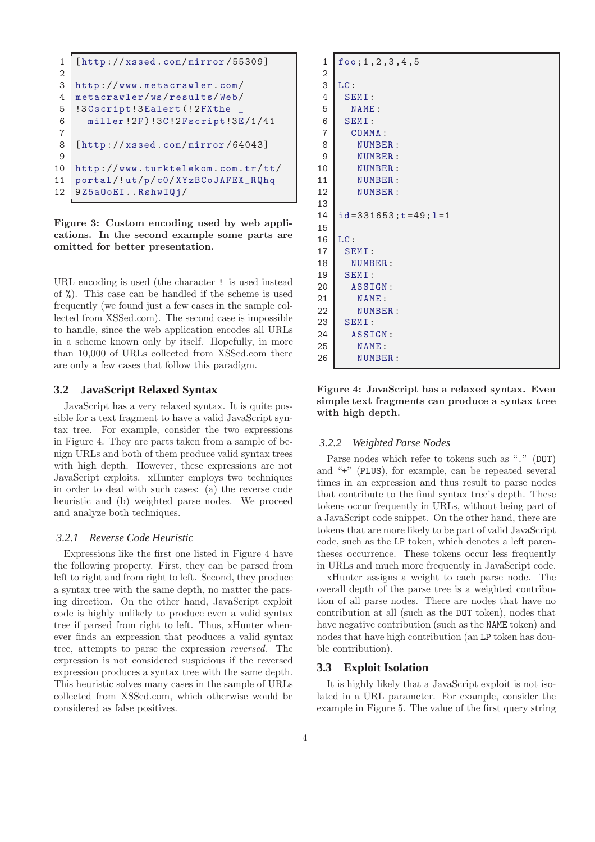```
1 [ http :// xssed . com/ mirror /55309]
 \overline{2}3 http :// www. metacrawler. com/
 4 metacrawler/ws/ results/ Web/
 5 | !3 Cscript ! 3 Ealert (! 2 FX the
 6 miller !2F )!3C!2 Fscript!3E /1/41
 7
 8 [ http :// xssed . com/ mirror /64043]
9
10 http :// www. turktelekom. com.tr/ tt/
11 portal /! ut/p/ c0/ XYzBCoJAFEX_RQhq
12 9Z5aOoEI..RshwIQj/
```
Figure 3: Custom encoding used by web applications. In the second example some parts are omitted for better presentation.

URL encoding is used (the character ! is used instead of %). This case can be handled if the scheme is used frequently (we found just a few cases in the sample collected from XSSed.com). The second case is impossible to handle, since the web application encodes all URLs in a scheme known only by itself. Hopefully, in more than 10,000 of URLs collected from XSSed.com there are only a few cases that follow this paradigm.

### **3.2 JavaScript Relaxed Syntax**

JavaScript has a very relaxed syntax. It is quite possible for a text fragment to have a valid JavaScript syntax tree. For example, consider the two expressions in Figure 4. They are parts taken from a sample of benign URLs and both of them produce valid syntax trees with high depth. However, these expressions are not JavaScript exploits. xHunter employs two techniques in order to deal with such cases: (a) the reverse code heuristic and (b) weighted parse nodes. We proceed and analyze both techniques.

#### *3.2.1 Reverse Code Heuristic*

Expressions like the first one listed in Figure 4 have the following property. First, they can be parsed from left to right and from right to left. Second, they produce a syntax tree with the same depth, no matter the parsing direction. On the other hand, JavaScript exploit code is highly unlikely to produce even a valid syntax tree if parsed from right to left. Thus, xHunter whenever finds an expression that produces a valid syntax tree, attempts to parse the expression reversed. The expression is not considered suspicious if the reversed expression produces a syntax tree with the same depth. This heuristic solves many cases in the sample of URLs collected from XSSed.com, which otherwise would be considered as false positives.

| $\mathbf{1}$   | foo; 1, 2, 3, 4, 5                 |
|----------------|------------------------------------|
| $\overline{2}$ |                                    |
| 3              | LC:                                |
| 4              | SEMI:                              |
| 5              | NAME:                              |
| 6              | SEMI:                              |
| $\overline{7}$ | COMMA:                             |
| 8              | NUMBER:                            |
| 9              | NUMBER:                            |
| 10             | NUMBER:                            |
| 11             | NUMBER:                            |
| 12             | NUMBER:                            |
| 13             |                                    |
| 14             | $id = 331653$ ; $t = 49$ ; $l = 1$ |
| 15             |                                    |
| 16             | LC:                                |
| 17             | SEMI:                              |
| 18             | NUMBER:                            |
| 19             | SEMI:                              |
| 20             | ASSIGN:                            |
| 21             | NAME:                              |
| 22             | NUMBER:                            |
| 23             | SEMI:                              |
| 24             | ASSIGN:                            |
| 25             | NAME:                              |
| 26             | NUMBER:                            |

Figure 4: JavaScript has a relaxed syntax. Even simple text fragments can produce a syntax tree with high depth.

#### *3.2.2 Weighted Parse Nodes*

Parse nodes which refer to tokens such as "." (DOT) and "+" (PLUS), for example, can be repeated several times in an expression and thus result to parse nodes that contribute to the final syntax tree's depth. These tokens occur frequently in URLs, without being part of a JavaScript code snippet. On the other hand, there are tokens that are more likely to be part of valid JavaScript code, such as the LP token, which denotes a left parentheses occurrence. These tokens occur less frequently in URLs and much more frequently in JavaScript code.

xHunter assigns a weight to each parse node. The overall depth of the parse tree is a weighted contribution of all parse nodes. There are nodes that have no contribution at all (such as the DOT token), nodes that have negative contribution (such as the NAME token) and nodes that have high contribution (an LP token has double contribution).

### **3.3 Exploit Isolation**

It is highly likely that a JavaScript exploit is not isolated in a URL parameter. For example, consider the example in Figure 5. The value of the first query string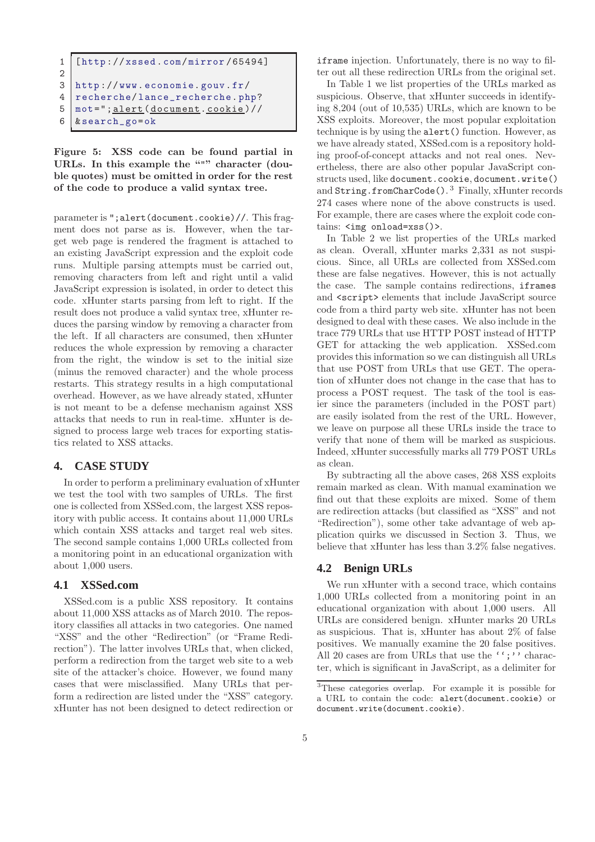```
1 [ http :// xssed . com/ mirror /65494]
\overline{2}3 http :// www. economie. gouv.fr/
4 recherche/ lance_recherche. php?
5 mot ="; alert ( document. cookie )//
6 & search_go=ok
```
Figure 5: XSS code can be found partial in URLs. In this example the """ character (double quotes) must be omitted in order for the rest of the code to produce a valid syntax tree.

parameter is ";alert(document.cookie)//. This fragment does not parse as is. However, when the target web page is rendered the fragment is attached to an existing JavaScript expression and the exploit code runs. Multiple parsing attempts must be carried out, removing characters from left and right until a valid JavaScript expression is isolated, in order to detect this code. xHunter starts parsing from left to right. If the result does not produce a valid syntax tree, xHunter reduces the parsing window by removing a character from the left. If all characters are consumed, then xHunter reduces the whole expression by removing a character from the right, the window is set to the initial size (minus the removed character) and the whole process restarts. This strategy results in a high computational overhead. However, as we have already stated, xHunter is not meant to be a defense mechanism against XSS attacks that needs to run in real-time. xHunter is designed to process large web traces for exporting statistics related to XSS attacks.

# **4. CASE STUDY**

In order to perform a preliminary evaluation of xHunter we test the tool with two samples of URLs. The first one is collected from XSSed.com, the largest XSS repository with public access. It contains about 11,000 URLs which contain XSS attacks and target real web sites. The second sample contains 1,000 URLs collected from a monitoring point in an educational organization with about 1,000 users.

# **4.1 XSSed.com**

XSSed.com is a public XSS repository. It contains about 11,000 XSS attacks as of March 2010. The repository classifies all attacks in two categories. One named "XSS" and the other "Redirection" (or "Frame Redirection"). The latter involves URLs that, when clicked, perform a redirection from the target web site to a web site of the attacker's choice. However, we found many cases that were misclassified. Many URLs that perform a redirection are listed under the "XSS" category. xHunter has not been designed to detect redirection or iframe injection. Unfortunately, there is no way to filter out all these redirection URLs from the original set.

In Table 1 we list properties of the URLs marked as suspicious. Observe, that xHunter succeeds in identifying 8,204 (out of 10,535) URLs, which are known to be XSS exploits. Moreover, the most popular exploitation technique is by using the alert() function. However, as we have already stated, XSSed.com is a repository holding proof-of-concept attacks and not real ones. Nevertheless, there are also other popular JavaScript constructs used, like document.cookie, document.write() and String.fromCharCode().<sup>3</sup> Finally, xHunter records 274 cases where none of the above constructs is used. For example, there are cases where the exploit code contains: <img onload=xss()>.

In Table 2 we list properties of the URLs marked as clean. Overall, xHunter marks 2,331 as not suspicious. Since, all URLs are collected from XSSed.com these are false negatives. However, this is not actually the case. The sample contains redirections, iframes and <script> elements that include JavaScript source code from a third party web site. xHunter has not been designed to deal with these cases. We also include in the trace 779 URLs that use HTTP POST instead of HTTP GET for attacking the web application. XSSed.com provides this information so we can distinguish all URLs that use POST from URLs that use GET. The operation of xHunter does not change in the case that has to process a POST request. The task of the tool is easier since the parameters (included in the POST part) are easily isolated from the rest of the URL. However, we leave on purpose all these URLs inside the trace to verify that none of them will be marked as suspicious. Indeed, xHunter successfully marks all 779 POST URLs as clean.

By subtracting all the above cases, 268 XSS exploits remain marked as clean. With manual examination we find out that these exploits are mixed. Some of them are redirection attacks (but classified as "XSS" and not "Redirection"), some other take advantage of web application quirks we discussed in Section 3. Thus, we believe that xHunter has less than 3.2% false negatives.

# **4.2 Benign URLs**

We run xHunter with a second trace, which contains 1,000 URLs collected from a monitoring point in an educational organization with about 1,000 users. All URLs are considered benign. xHunter marks 20 URLs as suspicious. That is, xHunter has about 2% of false positives. We manually examine the 20 false positives. All 20 cases are from URLs that use the '';'' character, which is significant in JavaScript, as a delimiter for

<sup>3</sup>These categories overlap. For example it is possible for a URL to contain the code: alert(document.cookie) or document.write(document.cookie).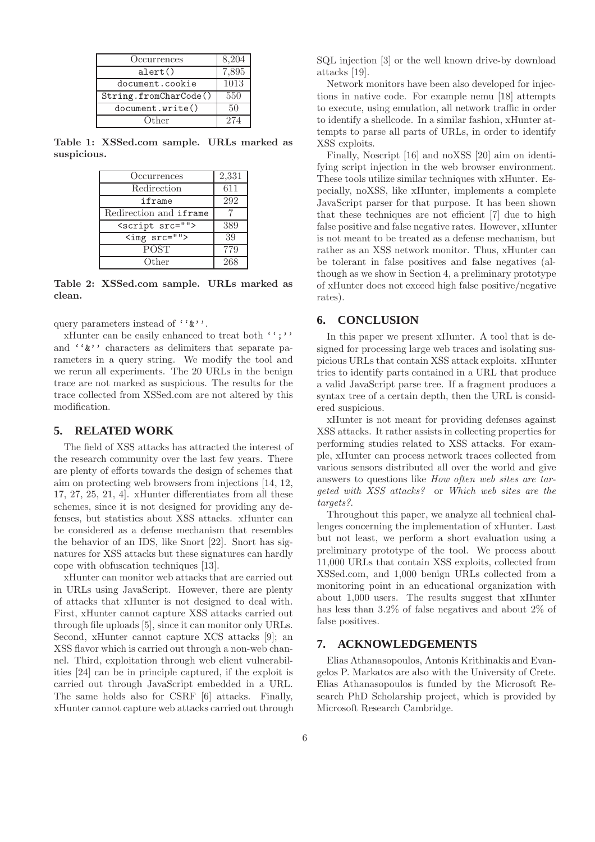| Occurrences           | 8,204        |
|-----------------------|--------------|
| $\text{alert}()$      | 7,895        |
| document.cookie       | 1013         |
| String.fromCharCode() | 550          |
| document.write()      | $50^{\circ}$ |
| Other                 | 274          |

Table 1: XSSed.com sample. URLs marked as suspicious.

| Occurrences              | 2,331 |
|--------------------------|-------|
| Redirection              | 611   |
| iframe                   | 292   |
| Redirection and iframe   |       |
| <script src=""></script> |       |

Table 2: XSSed.com sample. URLs marked as clean.

query parameters instead of ''&''.

xHunter can be easily enhanced to treat both '';'' and ''&'' characters as delimiters that separate parameters in a query string. We modify the tool and we rerun all experiments. The 20 URLs in the benign trace are not marked as suspicious. The results for the trace collected from XSSed.com are not altered by this modification.

# **5. RELATED WORK**

The field of XSS attacks has attracted the interest of the research community over the last few years. There are plenty of efforts towards the design of schemes that aim on protecting web browsers from injections [14, 12, 17, 27, 25, 21, 4]. xHunter differentiates from all these schemes, since it is not designed for providing any defenses, but statistics about XSS attacks. xHunter can be considered as a defense mechanism that resembles the behavior of an IDS, like Snort [22]. Snort has signatures for XSS attacks but these signatures can hardly cope with obfuscation techniques [13].

xHunter can monitor web attacks that are carried out in URLs using JavaScript. However, there are plenty of attacks that xHunter is not designed to deal with. First, xHunter cannot capture XSS attacks carried out through file uploads [5], since it can monitor only URLs. Second, xHunter cannot capture XCS attacks [9]; an XSS flavor which is carried out through a non-web channel. Third, exploitation through web client vulnerabilities [24] can be in principle captured, if the exploit is carried out through JavaScript embedded in a URL. The same holds also for CSRF [6] attacks. Finally, xHunter cannot capture web attacks carried out through SQL injection [3] or the well known drive-by download attacks [19].

Network monitors have been also developed for injections in native code. For example nemu [18] attempts to execute, using emulation, all network traffic in order to identify a shellcode. In a similar fashion, xHunter attempts to parse all parts of URLs, in order to identify XSS exploits.

Finally, Noscript [16] and noXSS [20] aim on identifying script injection in the web browser environment. These tools utilize similar techniques with xHunter. Especially, noXSS, like xHunter, implements a complete JavaScript parser for that purpose. It has been shown that these techniques are not efficient [7] due to high false positive and false negative rates. However, xHunter is not meant to be treated as a defense mechanism, but rather as an XSS network monitor. Thus, xHunter can be tolerant in false positives and false negatives (although as we show in Section 4, a preliminary prototype of xHunter does not exceed high false positive/negative rates).

### **6. CONCLUSION**

In this paper we present xHunter. A tool that is designed for processing large web traces and isolating suspicious URLs that contain XSS attack exploits. xHunter tries to identify parts contained in a URL that produce a valid JavaScript parse tree. If a fragment produces a syntax tree of a certain depth, then the URL is considered suspicious.

xHunter is not meant for providing defenses against XSS attacks. It rather assists in collecting properties for performing studies related to XSS attacks. For example, xHunter can process network traces collected from various sensors distributed all over the world and give answers to questions like How often web sites are targeted with XSS attacks? or Which web sites are the targets?.

Throughout this paper, we analyze all technical challenges concerning the implementation of xHunter. Last but not least, we perform a short evaluation using a preliminary prototype of the tool. We process about 11,000 URLs that contain XSS exploits, collected from XSSed.com, and 1,000 benign URLs collected from a monitoring point in an educational organization with about 1,000 users. The results suggest that xHunter has less than 3.2% of false negatives and about 2% of false positives.

# **7. ACKNOWLEDGEMENTS**

Elias Athanasopoulos, Antonis Krithinakis and Evangelos P. Markatos are also with the University of Crete. Elias Athanasopoulos is funded by the Microsoft Research PhD Scholarship project, which is provided by Microsoft Research Cambridge.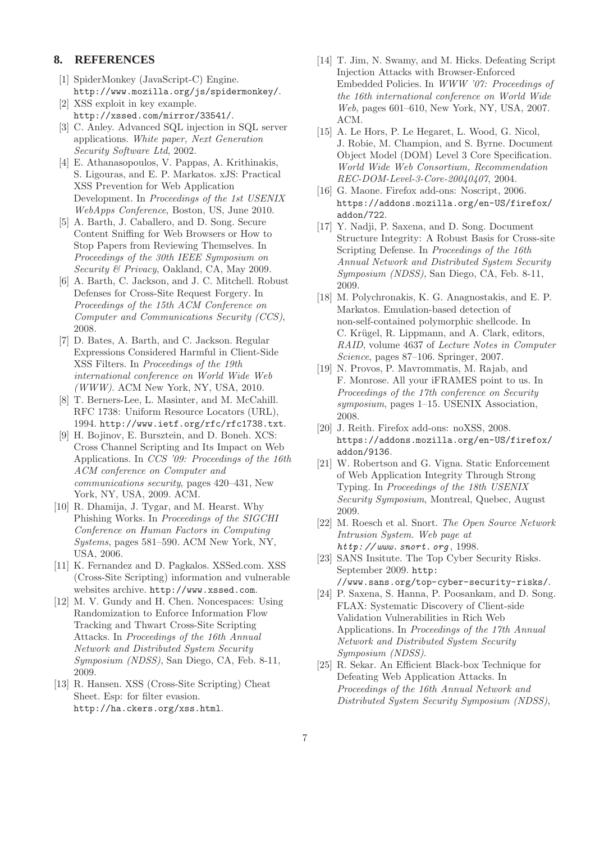# **8. REFERENCES**

- [1] SpiderMonkey (JavaScript-C) Engine. http://www.mozilla.org/js/spidermonkey/.
- [2] XSS exploit in key example. http://xssed.com/mirror/33541/.
- [3] C. Anley. Advanced SQL injection in SQL server applications. White paper, Next Generation Security Software Ltd, 2002.
- [4] E. Athanasopoulos, V. Pappas, A. Krithinakis, S. Ligouras, and E. P. Markatos. xJS: Practical XSS Prevention for Web Application Development. In Proceedings of the 1st USENIX WebApps Conference, Boston, US, June 2010.
- [5] A. Barth, J. Caballero, and D. Song. Secure Content Sniffing for Web Browsers or How to Stop Papers from Reviewing Themselves. In Proceedings of the 30th IEEE Symposium on Security & Privacy, Oakland, CA, May 2009.
- [6] A. Barth, C. Jackson, and J. C. Mitchell. Robust Defenses for Cross-Site Request Forgery. In Proceedings of the 15th ACM Conference on Computer and Communications Security (CCS), 2008.
- [7] D. Bates, A. Barth, and C. Jackson. Regular Expressions Considered Harmful in Client-Side XSS Filters. In Proceedings of the 19th international conference on World Wide Web  $(WWW)$ . ACM New York, NY, USA, 2010.
- [8] T. Berners-Lee, L. Masinter, and M. McCahill. RFC 1738: Uniform Resource Locators (URL), 1994. http://www.ietf.org/rfc/rfc1738.txt.
- [9] H. Bojinov, E. Bursztein, and D. Boneh. XCS: Cross Channel Scripting and Its Impact on Web Applications. In CCS '09: Proceedings of the 16th ACM conference on Computer and communications security, pages 420–431, New York, NY, USA, 2009. ACM.
- [10] R. Dhamija, J. Tygar, and M. Hearst. Why Phishing Works. In Proceedings of the SIGCHI Conference on Human Factors in Computing Systems, pages 581–590. ACM New York, NY, USA, 2006.
- [11] K. Fernandez and D. Pagkalos. XSSed.com. XSS (Cross-Site Scripting) information and vulnerable websites archive. http://www.xssed.com.
- [12] M. V. Gundy and H. Chen. Noncespaces: Using Randomization to Enforce Information Flow Tracking and Thwart Cross-Site Scripting Attacks. In Proceedings of the 16th Annual Network and Distributed System Security Symposium (NDSS), San Diego, CA, Feb. 8-11, 2009.
- [13] R. Hansen. XSS (Cross-Site Scripting) Cheat Sheet. Esp: for filter evasion. http://ha.ckers.org/xss.html.
- [14] T. Jim, N. Swamy, and M. Hicks. Defeating Script Injection Attacks with Browser-Enforced Embedded Policies. In WWW '07: Proceedings of the 16th international conference on World Wide Web, pages 601–610, New York, NY, USA, 2007. ACM.
- [15] A. Le Hors, P. Le Hegaret, L. Wood, G. Nicol, J. Robie, M. Champion, and S. Byrne. Document Object Model (DOM) Level 3 Core Specification. World Wide Web Consortium, Recommendation REC-DOM-Level-3-Core-20040407, 2004.
- [16] G. Maone. Firefox add-ons: Noscript, 2006. https://addons.mozilla.org/en-US/firefox/ addon/722.
- [17] Y. Nadii, P. Saxena, and D. Song. Document Structure Integrity: A Robust Basis for Cross-site Scripting Defense. In Proceedings of the 16th Annual Network and Distributed System Security Symposium (NDSS), San Diego, CA, Feb. 8-11, 2009.
- [18] M. Polychronakis, K. G. Anagnostakis, and E. P. Markatos. Emulation-based detection of non-self-contained polymorphic shellcode. In C. Krügel, R. Lippmann, and A. Clark, editors, RAID, volume 4637 of Lecture Notes in Computer Science, pages 87–106. Springer, 2007.
- [19] N. Provos, P. Mavrommatis, M. Rajab, and F. Monrose. All your iFRAMES point to us. In Proceedings of the 17th conference on Security symposium, pages 1–15. USENIX Association, 2008.
- [20] J. Reith. Firefox add-ons: noXSS, 2008. https://addons.mozilla.org/en-US/firefox/ addon/9136.
- [21] W. Robertson and G. Vigna. Static Enforcement of Web Application Integrity Through Strong Typing. In Proceedings of the 18th USENIX Security Symposium, Montreal, Quebec, August 2009.
- [22] M. Roesch et al. Snort. The Open Source Network Intrusion System. Web page at  $http://www.snort.org, 1998.$
- [23] SANS Insitute. The Top Cyber Security Risks. September 2009. http: //www.sans.org/top-cyber-security-risks/.
- [24] P. Saxena, S. Hanna, P. Poosankam, and D. Song. FLAX: Systematic Discovery of Client-side Validation Vulnerabilities in Rich Web Applications. In Proceedings of the 17th Annual Network and Distributed System Security Symposium (NDSS).
- [25] R. Sekar. An Efficient Black-box Technique for Defeating Web Application Attacks. In Proceedings of the 16th Annual Network and Distributed System Security Symposium (NDSS),